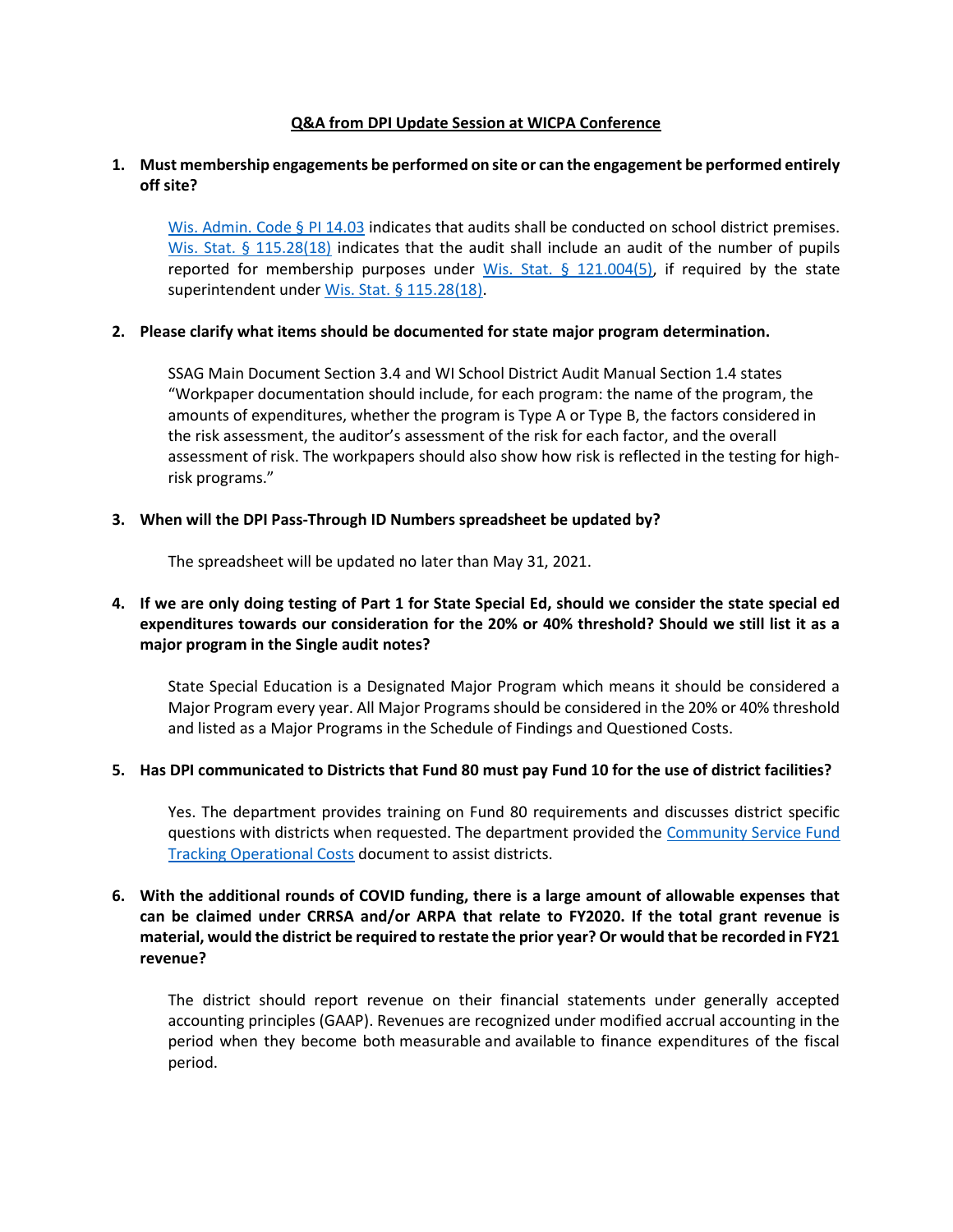### Q&A from DPI Update Session at WICPA Conference

### 1. Must membership engagements be performed on site or can the engagement be performed entirely off site?

Wis. Admin. Code § PI 14.03 indicates that audits shall be conducted on school district premises. Wis. Stat. § 115.28(18) indicates that the audit shall include an audit of the number of pupils reported for membership purposes under Wis. Stat.  $\S$  121.004(5), if required by the state superintendent under Wis. Stat. § 115.28(18).

#### 2. Please clarify what items should be documented for state major program determination.

SSAG Main Document Section 3.4 and WI School District Audit Manual Section 1.4 states "Workpaper documentation should include, for each program: the name of the program, the amounts of expenditures, whether the program is Type A or Type B, the factors considered in the risk assessment, the auditor's assessment of the risk for each factor, and the overall assessment of risk. The workpapers should also show how risk is reflected in the testing for highrisk programs."

#### 3. When will the DPI Pass-Through ID Numbers spreadsheet be updated by?

The spreadsheet will be updated no later than May 31, 2021.

# 4. If we are only doing testing of Part 1 for State Special Ed, should we consider the state special ed expenditures towards our consideration for the 20% or 40% threshold? Should we still list it as a major program in the Single audit notes?

State Special Education is a Designated Major Program which means it should be considered a Major Program every year. All Major Programs should be considered in the 20% or 40% threshold and listed as a Major Programs in the Schedule of Findings and Questioned Costs.

### 5. Has DPI communicated to Districts that Fund 80 must pay Fund 10 for the use of district facilities?

Yes. The department provides training on Fund 80 requirements and discusses district specific questions with districts when requested. The department provided the Community Service Fund Tracking Operational Costs document to assist districts.

# 6. With the additional rounds of COVID funding, there is a large amount of allowable expenses that can be claimed under CRRSA and/or ARPA that relate to FY2020. If the total grant revenue is material, would the district be required to restate the prior year? Or would that be recorded in FY21 revenue?

The district should report revenue on their financial statements under generally accepted accounting principles (GAAP). Revenues are recognized under modified accrual accounting in the period when they become both measurable and available to finance expenditures of the fiscal period.